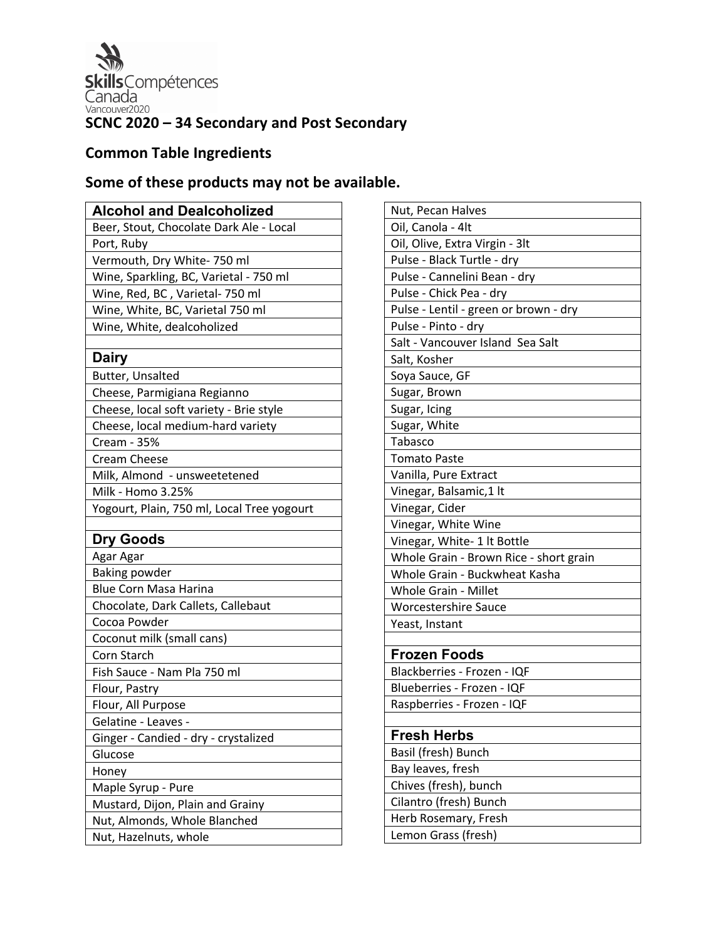

# **Common Table Ingredients**

# **Some of these products may not be available.**

| <b>Alcohol and Dealcoholized</b>           |
|--------------------------------------------|
| Beer, Stout, Chocolate Dark Ale - Local    |
| Port, Ruby                                 |
| Vermouth, Dry White- 750 ml                |
| Wine, Sparkling, BC, Varietal - 750 ml     |
| Wine, Red, BC, Varietal- 750 ml            |
| Wine, White, BC, Varietal 750 ml           |
| Wine, White, dealcoholized                 |
|                                            |
| <b>Dairy</b>                               |
| Butter, Unsalted                           |
| Cheese, Parmigiana Regianno                |
| Cheese, local soft variety - Brie style    |
| Cheese, local medium-hard variety          |
| Cream - 35%                                |
| Cream Cheese                               |
| Milk, Almond - unsweetetened               |
| Milk - Homo 3.25%                          |
| Yogourt, Plain, 750 ml, Local Tree yogourt |
|                                            |
| <b>Dry Goods</b>                           |
| Agar Agar                                  |
| <b>Baking powder</b>                       |
| Blue Corn Masa Harina                      |
| Chocolate, Dark Callets, Callebaut         |
| Cocoa Powder                               |
| Coconut milk (small cans)                  |
| Corn Starch                                |
| Fish Sauce - Nam Pla 750 ml                |
| Flour, Pastry                              |
| Flour, All Purpose                         |
| Gelatine - Leaves -                        |
| Ginger - Candied - dry - crystalized       |
| Glucose                                    |
| Honey                                      |
| Maple Syrup - Pure                         |
| Mustard, Dijon, Plain and Grainy           |
| Nut, Almonds, Whole Blanched               |
| Nut, Hazelnuts, whole                      |

| Nut, Pecan Halves                      |
|----------------------------------------|
| Oil, Canola - 4lt                      |
| Oil, Olive, Extra Virgin - 3lt         |
| Pulse - Black Turtle - dry             |
| Pulse - Cannelini Bean - dry           |
| Pulse - Chick Pea - dry                |
| Pulse - Lentil - green or brown - dry  |
| Pulse - Pinto - dry                    |
| Salt - Vancouver Island Sea Salt       |
| Salt, Kosher                           |
| Soya Sauce, GF                         |
| Sugar, Brown                           |
| Sugar, Icing                           |
| Sugar, White                           |
| Tabasco                                |
| <b>Tomato Paste</b>                    |
| Vanilla, Pure Extract                  |
| Vinegar, Balsamic, 1 lt                |
| Vinegar, Cider                         |
| Vinegar, White Wine                    |
| Vinegar, White- 1 lt Bottle            |
| Whole Grain - Brown Rice - short grain |
| Whole Grain - Buckwheat Kasha          |
| <b>Whole Grain - Millet</b>            |
| <b>Worcestershire Sauce</b>            |
| Yeast, Instant                         |
|                                        |
| <b>Frozen Foods</b>                    |
| Blackberries - Frozen - IQF            |
| Blueberries - Frozen - IQF             |
| Raspberries - Frozen - IQF             |
|                                        |
| <b>Fresh Herbs</b>                     |
| Basil (fresh) Bunch                    |
| Bay leaves, fresh                      |
| Chives (fresh), bunch                  |
| Cilantro (fresh) Bunch                 |
| Herb Rosemary, Fresh                   |
| Lemon Grass (fresh)                    |